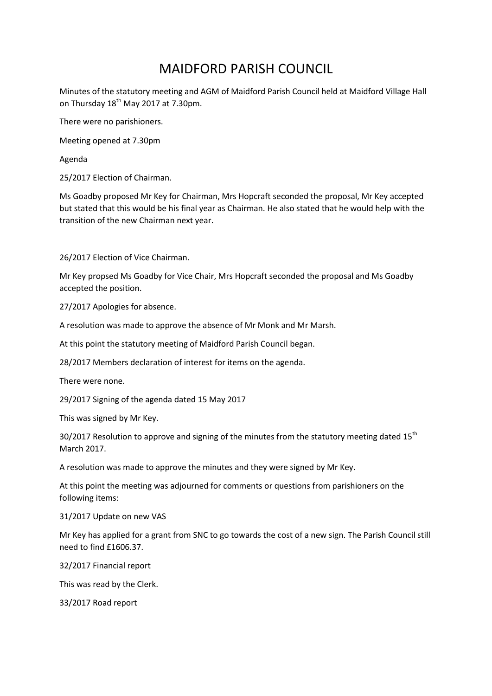## MAIDFORD PARISH COUNCIL

Minutes of the statutory meeting and AGM of Maidford Parish Council held at Maidford Village Hall on Thursday  $18<sup>th</sup>$  May 2017 at 7.30pm.

There were no parishioners.

Meeting opened at 7.30pm

Agenda

25/2017 Election of Chairman.

Ms Goadby proposed Mr Key for Chairman, Mrs Hopcraft seconded the proposal, Mr Key accepted but stated that this would be his final year as Chairman. He also stated that he would help with the transition of the new Chairman next year.

26/2017 Election of Vice Chairman.

Mr Key propsed Ms Goadby for Vice Chair, Mrs Hopcraft seconded the proposal and Ms Goadby accepted the position.

27/2017 Apologies for absence.

A resolution was made to approve the absence of Mr Monk and Mr Marsh.

At this point the statutory meeting of Maidford Parish Council began.

28/2017 Members declaration of interest for items on the agenda.

There were none.

29/2017 Signing of the agenda dated 15 May 2017

This was signed by Mr Key.

30/2017 Resolution to approve and signing of the minutes from the statutory meeting dated 15<sup>th</sup> March 2017.

A resolution was made to approve the minutes and they were signed by Mr Key.

At this point the meeting was adjourned for comments or questions from parishioners on the following items:

31/2017 Update on new VAS

Mr Key has applied for a grant from SNC to go towards the cost of a new sign. The Parish Council still need to find £1606.37.

32/2017 Financial report

This was read by the Clerk.

33/2017 Road report